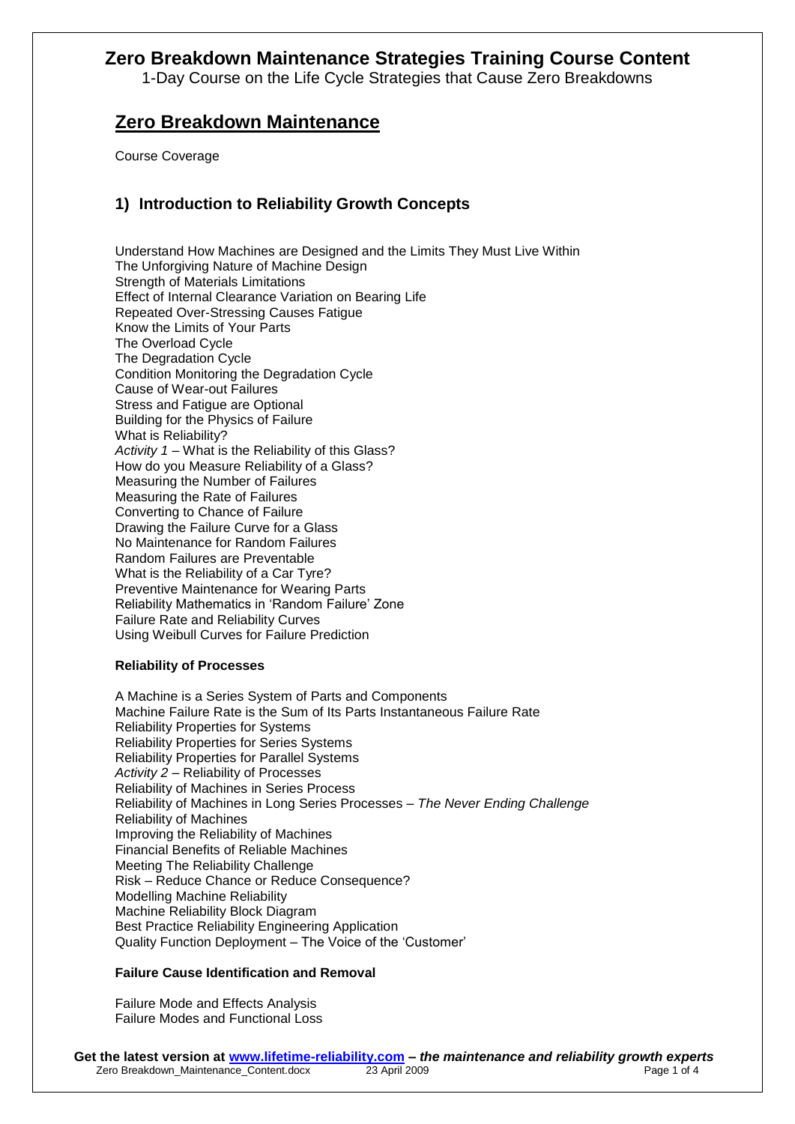1-Day Course on the Life Cycle Strategies that Cause Zero Breakdowns

# **Zero Breakdown Maintenance**

Course Coverage

## **1) Introduction to Reliability Growth Concepts**

Understand How Machines are Designed and the Limits They Must Live Within The Unforgiving Nature of Machine Design Strength of Materials Limitations Effect of Internal Clearance Variation on Bearing Life Repeated Over-Stressing Causes Fatigue Know the Limits of Your Parts The Overload Cycle The Degradation Cycle Condition Monitoring the Degradation Cycle Cause of Wear-out Failures Stress and Fatigue are Optional Building for the Physics of Failure What is Reliability? *Activity 1* – What is the Reliability of this Glass? How do you Measure Reliability of a Glass? Measuring the Number of Failures Measuring the Rate of Failures Converting to Chance of Failure Drawing the Failure Curve for a Glass No Maintenance for Random Failures Random Failures are Preventable What is the Reliability of a Car Tyre? Preventive Maintenance for Wearing Parts Reliability Mathematics in 'Random Failure' Zone Failure Rate and Reliability Curves Using Weibull Curves for Failure Prediction

### **Reliability of Processes**

A Machine is a Series System of Parts and Components Machine Failure Rate is the Sum of Its Parts Instantaneous Failure Rate Reliability Properties for Systems Reliability Properties for Series Systems Reliability Properties for Parallel Systems *Activity 2* – Reliability of Processes Reliability of Machines in Series Process Reliability of Machines in Long Series Processes – *The Never Ending Challenge* Reliability of Machines Improving the Reliability of Machines Financial Benefits of Reliable Machines Meeting The Reliability Challenge Risk – Reduce Chance or Reduce Consequence? Modelling Machine Reliability Machine Reliability Block Diagram Best Practice Reliability Engineering Application Quality Function Deployment – The Voice of the 'Customer'

### **Failure Cause Identification and Removal**

Failure Mode and Effects Analysis Failure Modes and Functional Loss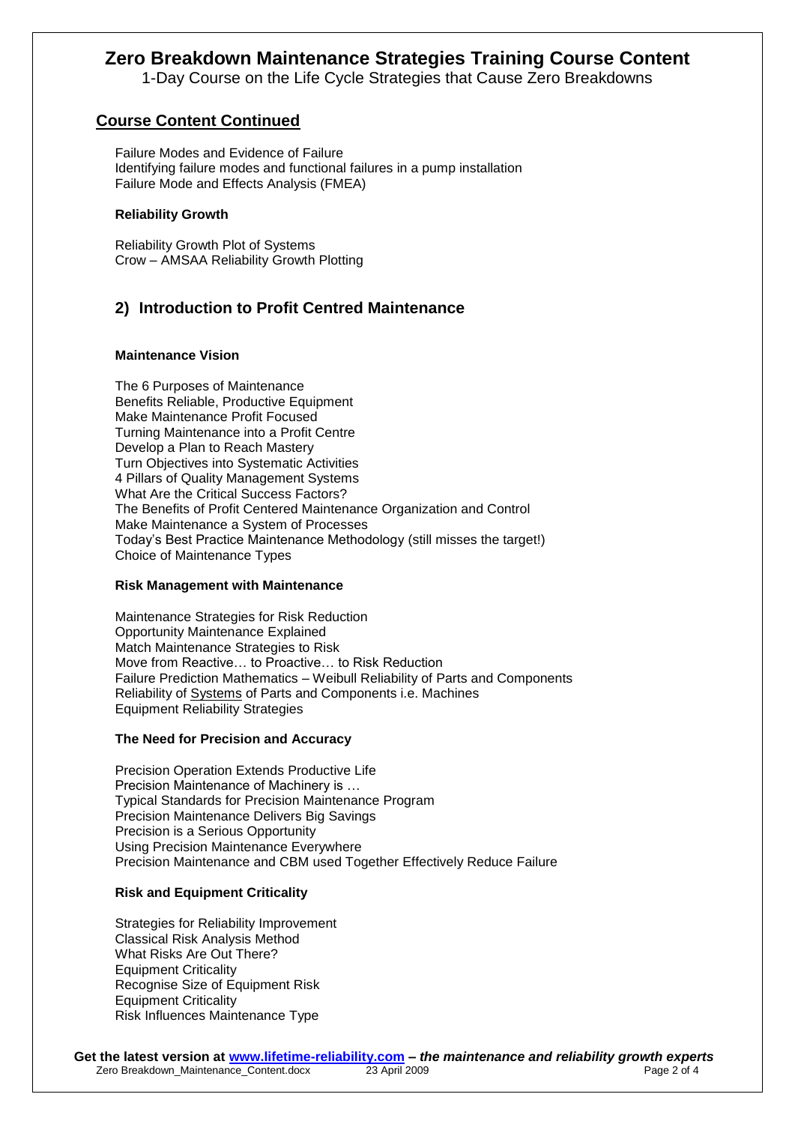1-Day Course on the Life Cycle Strategies that Cause Zero Breakdowns

### **Course Content Continued**

Failure Modes and Evidence of Failure Identifying failure modes and functional failures in a pump installation Failure Mode and Effects Analysis (FMEA)

#### **Reliability Growth**

Reliability Growth Plot of Systems Crow – AMSAA Reliability Growth Plotting

## **2) Introduction to Profit Centred Maintenance**

#### **Maintenance Vision**

The 6 Purposes of Maintenance Benefits Reliable, Productive Equipment Make Maintenance Profit Focused Turning Maintenance into a Profit Centre Develop a Plan to Reach Mastery Turn Objectives into Systematic Activities 4 Pillars of Quality Management Systems What Are the Critical Success Factors? The Benefits of Profit Centered Maintenance Organization and Control Make Maintenance a System of Processes Today's Best Practice Maintenance Methodology (still misses the target!) Choice of Maintenance Types

#### **Risk Management with Maintenance**

Maintenance Strategies for Risk Reduction Opportunity Maintenance Explained Match Maintenance Strategies to Risk Move from Reactive… to Proactive… to Risk Reduction Failure Prediction Mathematics – Weibull Reliability of Parts and Components Reliability of Systems of Parts and Components i.e. Machines Equipment Reliability Strategies

#### **The Need for Precision and Accuracy**

Precision Operation Extends Productive Life Precision Maintenance of Machinery is … Typical Standards for Precision Maintenance Program Precision Maintenance Delivers Big Savings Precision is a Serious Opportunity Using Precision Maintenance Everywhere Precision Maintenance and CBM used Together Effectively Reduce Failure

### **Risk and Equipment Criticality**

Strategies for Reliability Improvement Classical Risk Analysis Method What Risks Are Out There? Equipment Criticality Recognise Size of Equipment Risk Equipment Criticality Risk Influences Maintenance Type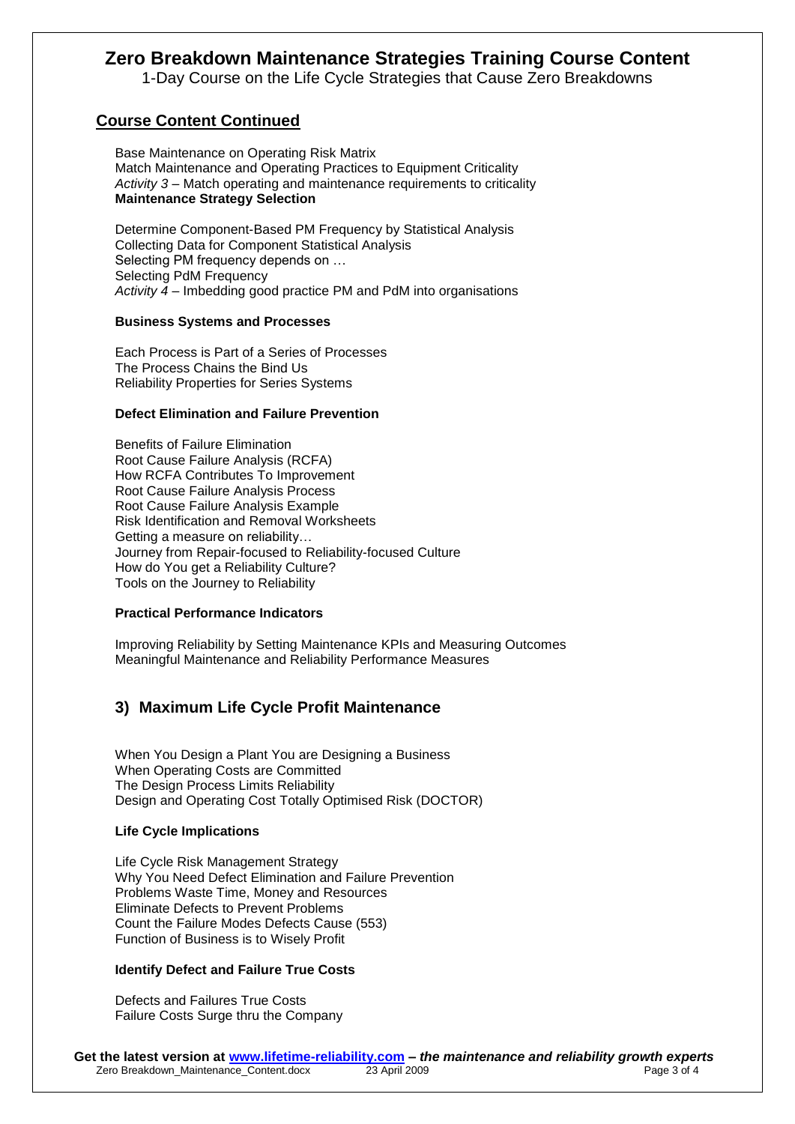1-Day Course on the Life Cycle Strategies that Cause Zero Breakdowns

## **Course Content Continued**

Base Maintenance on Operating Risk Matrix Match Maintenance and Operating Practices to Equipment Criticality *Activity 3* – Match operating and maintenance requirements to criticality **Maintenance Strategy Selection**

Determine Component-Based PM Frequency by Statistical Analysis Collecting Data for Component Statistical Analysis Selecting PM frequency depends on … Selecting PdM Frequency *Activity 4* – Imbedding good practice PM and PdM into organisations

#### **Business Systems and Processes**

Each Process is Part of a Series of Processes The Process Chains the Bind Us Reliability Properties for Series Systems

#### **Defect Elimination and Failure Prevention**

Benefits of Failure Elimination Root Cause Failure Analysis (RCFA) How RCFA Contributes To Improvement Root Cause Failure Analysis Process Root Cause Failure Analysis Example Risk Identification and Removal Worksheets Getting a measure on reliability… Journey from Repair-focused to Reliability-focused Culture How do You get a Reliability Culture? Tools on the Journey to Reliability

### **Practical Performance Indicators**

Improving Reliability by Setting Maintenance KPIs and Measuring Outcomes Meaningful Maintenance and Reliability Performance Measures

## **3) Maximum Life Cycle Profit Maintenance**

When You Design a Plant You are Designing a Business When Operating Costs are Committed The Design Process Limits Reliability Design and Operating Cost Totally Optimised Risk (DOCTOR)

### **Life Cycle Implications**

Life Cycle Risk Management Strategy Why You Need Defect Elimination and Failure Prevention Problems Waste Time, Money and Resources Eliminate Defects to Prevent Problems Count the Failure Modes Defects Cause (553) Function of Business is to Wisely Profit

### **Identify Defect and Failure True Costs**

Defects and Failures True Costs Failure Costs Surge thru the Company